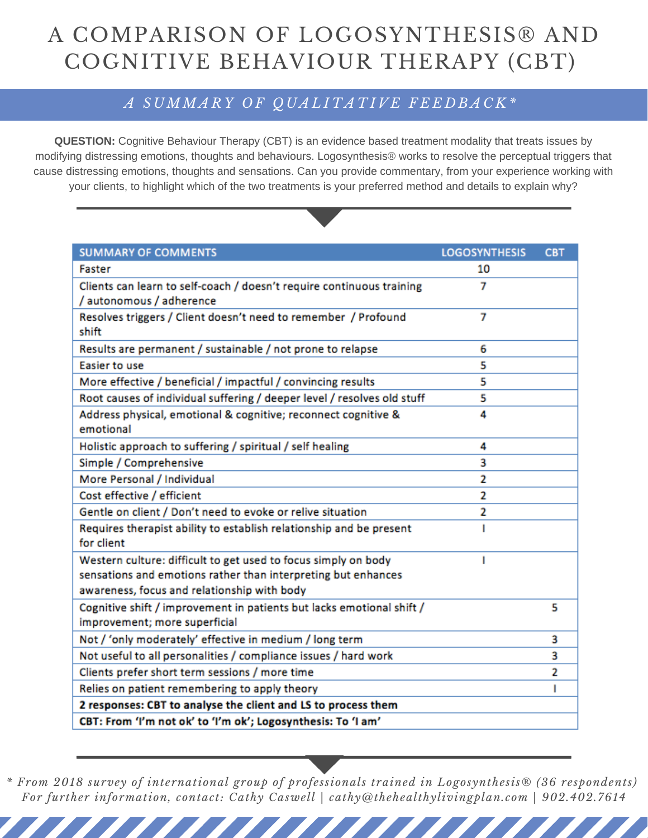## A COMPARISON OF LOGOSYNTHESIS® AND COGNITIVE BEHAVIOUR THERAPY (CBT)

## A SUMMARY OF QUALITATIVE FEEDBACK\*

**QUESTION:** Cognitive Behaviour Therapy (CBT) is an evidence based treatment modality that treats issues by modifying distressing emotions, thoughts and behaviours. Logosynthesis® works to resolve the perceptual triggers that cause distressing emotions, thoughts and sensations. Can you provide commentary, from your experience working with your clients, to highlight which of the two treatments is your preferred method and details to explain why?



| <b>SUMMARY OF COMMENTS</b>                                                                                   | <b>LOGOSYNTHESIS</b> | CB I |
|--------------------------------------------------------------------------------------------------------------|----------------------|------|
| Faster                                                                                                       | 10                   |      |
| Clients can learn to self-coach / doesn't require continuous training<br>/ autonomous / adherence            | 7                    |      |
| Resolves triggers / Client doesn't need to remember / Profound<br>shift                                      | 7                    |      |
| Results are permanent / sustainable / not prone to relapse                                                   | 6                    |      |
| Easier to use                                                                                                | 5                    |      |
| More effective / beneficial / impactful / convincing results                                                 | 5                    |      |
| Root causes of individual suffering / deeper level / resolves old stuff                                      | 5                    |      |
| Address physical, emotional & cognitive; reconnect cognitive &<br>emotional                                  | 4                    |      |
| Holistic approach to suffering / spiritual / self healing                                                    | 4                    |      |
| Simple / Comprehensive                                                                                       | 3                    |      |
| More Personal / Individual                                                                                   | 2                    |      |
| Cost effective / efficient                                                                                   | 2                    |      |
| Gentle on client / Don't need to evoke or relive situation                                                   | 2                    |      |
| Requires therapist ability to establish relationship and be present<br>for client                            |                      |      |
| Western culture: difficult to get used to focus simply on body                                               | т                    |      |
| sensations and emotions rather than interpreting but enhances<br>awareness, focus and relationship with body |                      |      |
| Cognitive shift / improvement in patients but lacks emotional shift /<br>improvement; more superficial       |                      | 5    |
| Not / 'only moderately' effective in medium / long term                                                      |                      | з    |
| Not useful to all personalities / compliance issues / hard work                                              |                      | 3    |
| Clients prefer short term sessions / more time                                                               |                      | 2    |
| Relies on patient remembering to apply theory                                                                |                      | п    |
| 2 responses: CBT to analyse the client and LS to process them                                                |                      |      |
| CBT: From 'I'm not ok' to 'I'm ok'; Logosynthesis: To 'I am'                                                 |                      |      |
|                                                                                                              |                      |      |

*\* From 2018 survey of international group of professionals trained in Logosynthesis® (36 respondents) For further information, contact: Cathy Caswell | cathy@thehealthylivingplan.com | 902.402.7614*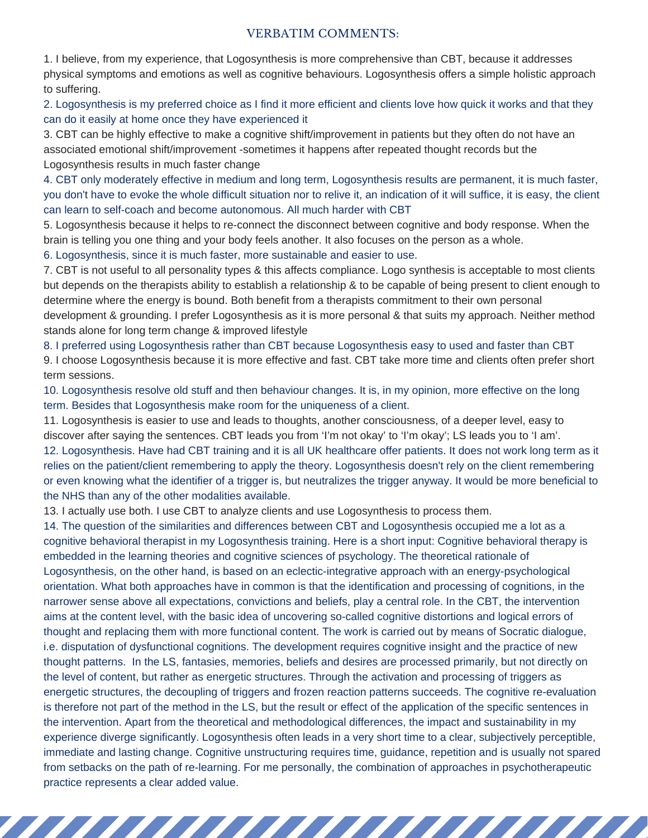## VERBATIM COMMENTS:

1. I believe, from my experience, that Logosynthesis is more comprehensive than CBT, because it addresses physical symptoms and emotions as well as cognitive behaviours. Logosynthesis offers a simple holistic approach to suffering.

2. Logosynthesis is my preferred choice as I find it more efficient and clients love how quick it works and that they can do it easily at home once they have experienced it

3. CBT can be highly effective to make a cognitive shift/improvement in patients but they often do not have an associated emotional shift/improvement -sometimes it happens after repeated thought records but the Logosynthesis results in much faster change

4. CBT only moderately effective in medium and long term, Logosynthesis results are permanent, it is much faster, you don't have to evoke the whole difficult situation nor to relive it, an indication of it will suffice, it is easy, the client can learn to self-coach and become autonomous. All much harder with CBT

5. Logosynthesis because it helps to re-connect the disconnect between cognitive and body response. When the brain is telling you one thing and your body feels another. It also focuses on the person as a whole.

6. Logosynthesis, since it is much faster, more sustainable and easier to use.

7. CBT is not useful to all personality types & this affects compliance. Logo synthesis is acceptable to most clients but depends on the therapists ability to establish a relationship & to be capable of being present to client enough to determine where the energy is bound. Both benefit from a therapists commitment to their own personal development & grounding. I prefer Logosynthesis as it is more personal & that suits my approach. Neither method stands alone for long term change & improved lifestyle

8. I preferred using Logosynthesis rather than CBT because Logosynthesis easy to used and faster than CBT 9. I choose Logosynthesis because it is more effective and fast. CBT take more time and clients often prefer short term sessions.

10. Logosynthesis resolve old stuff and then behaviour changes. It is, in my opinion, more effective on the long term. Besides that Logosynthesis make room for the uniqueness of a client.

11. Logosynthesis is easier to use and leads to thoughts, another consciousness, of a deeper level, easy to discover after saying the sentences. CBT leads you from 'I'm not okay' to 'I'm okay'; LS leads you to 'I am'. 12. Logosynthesis. Have had CBT training and it is all UK healthcare offer patients. It does not work long term as it relies on the patient/client remembering to apply the theory. Logosynthesis doesn't rely on the client remembering or even knowing what the identifier of a trigger is, but neutralizes the trigger anyway. It would be more beneficial to the NHS than any of the other modalities available.

13. I actually use both. I use CBT to analyze clients and use Logosynthesis to process them.

14. The question of the similarities and differences between CBT and Logosynthesis occupied me a lot as a cognitive behavioral therapist in my Logosynthesis training. Here is a short input: Cognitive behavioral therapy is embedded in the learning theories and cognitive sciences of psychology. The theoretical rationale of Logosynthesis, on the other hand, is based on an eclectic-integrative approach with an energy-psychological orientation. What both approaches have in common is that the identification and processing of cognitions, in the narrower sense above all expectations, convictions and beliefs, play a central role. In the CBT, the intervention aims at the content level, with the basic idea of uncovering so-called cognitive distortions and logical errors of thought and replacing them with more functional content. The work is carried out by means of Socratic dialogue, i.e. disputation of dysfunctional cognitions. The development requires cognitive insight and the practice of new thought patterns. In the LS, fantasies, memories, beliefs and desires are processed primarily, but not directly on the level of content, but rather as energetic structures. Through the activation and processing of triggers as energetic structures, the decoupling of triggers and frozen reaction patterns succeeds. The cognitive re-evaluation is therefore not part of the method in the LS, but the result or effect of the application of the specific sentences in the intervention. Apart from the theoretical and methodological differences, the impact and sustainability in my experience diverge significantly. Logosynthesis often leads in a very short time to a clear, subjectively perceptible, immediate and lasting change. Cognitive unstructuring requires time, guidance, repetition and is usually not spared from setbacks on the path of re-learning. For me personally, the combination of approaches in psychotherapeutic practice represents a clear added value.

,,,,,,,,,,,,,,,,,,,,,,,,,,